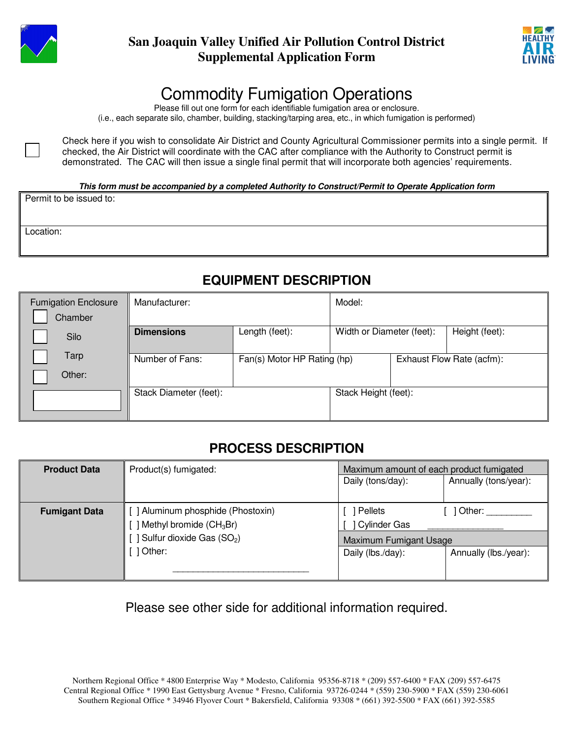



## Commodity Fumigation Operations

Please fill out one form for each identifiable fumigation area or enclosure. (i.e., each separate silo, chamber, building, stacking/tarping area, etc., in which fumigation is performed)

Check here if you wish to consolidate Air District and County Agricultural Commissioner permits into a single permit. If checked, the Air District will coordinate with the CAC after compliance with the Authority to Construct permit is demonstrated. The CAC will then issue a single final permit that will incorporate both agencies' requirements.

#### **This form must be accompanied by a completed Authority to Construct/Permit to Operate Application form**

Permit to be issued to:

Location:

### **EQUIPMENT DESCRIPTION**

| <b>Fumigation Enclosure</b> | Manufacturer:          |                             | Model:                    |  |                |
|-----------------------------|------------------------|-----------------------------|---------------------------|--|----------------|
| Chamber                     |                        |                             |                           |  |                |
| Silo                        | <b>Dimensions</b>      | Length (feet):              | Width or Diameter (feet): |  | Height (feet): |
| Tarp                        | Number of Fans:        | Fan(s) Motor HP Rating (hp) | Exhaust Flow Rate (acfm): |  |                |
| Other:                      |                        |                             |                           |  |                |
|                             | Stack Diameter (feet): |                             | Stack Height (feet):      |  |                |
|                             |                        |                             |                           |  |                |

#### **PROCESS DESCRIPTION**

| <b>Product Data</b>  | Product(s) fumigated:                                                                                         | Maximum amount of each product fumigated<br>Daily (tons/day): | Annually (tons/year): |  |
|----------------------|---------------------------------------------------------------------------------------------------------------|---------------------------------------------------------------|-----------------------|--|
| <b>Fumigant Data</b> | [ ] Aluminum phosphide (Phostoxin)<br>[] Methyl bromide (CH <sub>3</sub> Br)<br>[] Sulfur dioxide Gas $(SO2)$ | Pellets<br>  Other:<br>Cylinder Gas<br>Maximum Fumigant Usage |                       |  |
|                      | [ ] Other:                                                                                                    | Daily (lbs./day):                                             | Annually (lbs./year): |  |

Please see other side for additional information required.